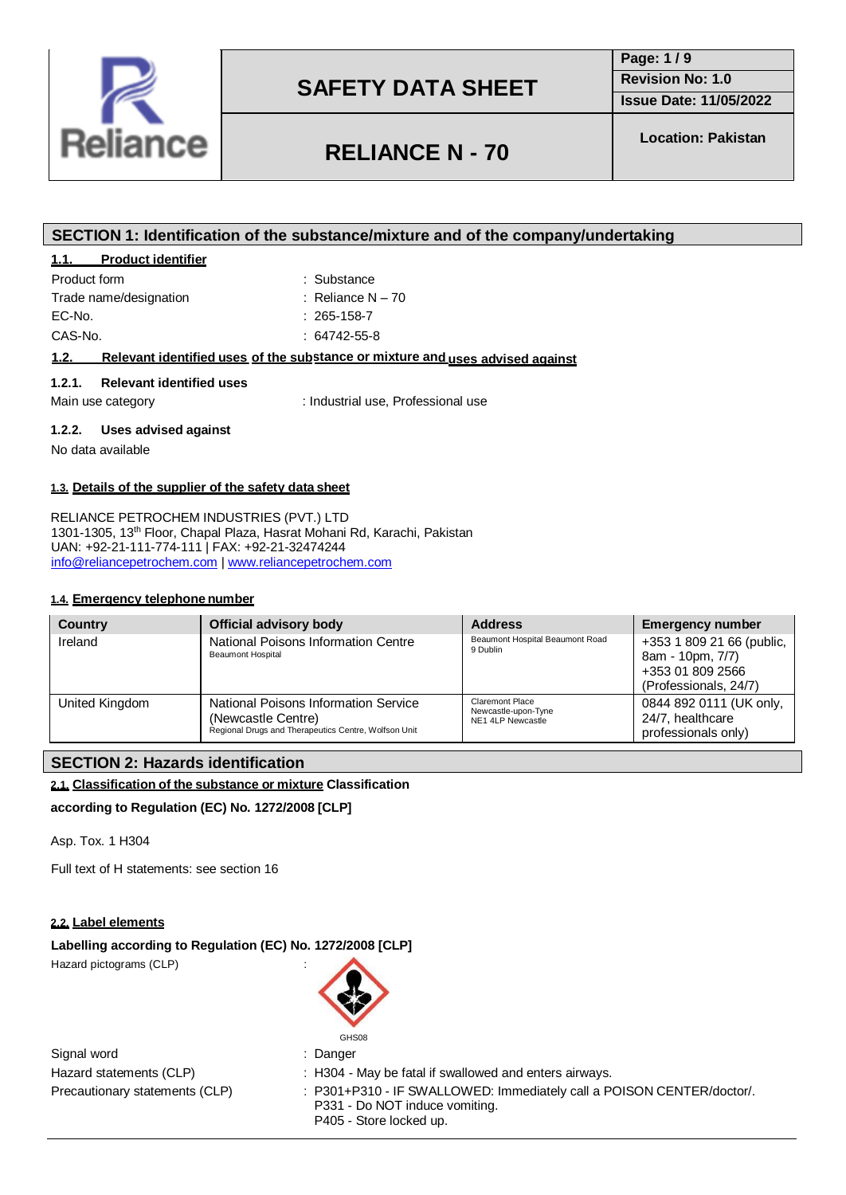

**RELIANCE N - 70**

**Page: 1 / 9 Revision No: 1.0**

**Location: Pakistan**

**Issue Date: 11/05/2022**

# **SECTION 1: Identification of the substance/mixture and of the company/undertaking**

### **1.1. Product identifier**

| Product form           | : Substance         |
|------------------------|---------------------|
| Trade name/designation | : Reliance $N - 70$ |
| EC-No.                 | $: 265 - 158 - 7$   |
| CAS-No.                | $: 64742 - 55 - 8$  |
|                        |                     |

### **uses advised against 1.2. Relevant identified uses of the sub stance or mixture and**

#### **1.2.1. Relevant identified uses**

Main use category **industrial use, Professional use** 

### **1.2.2. Uses advised against**

No data available

**1.3. Details of the supplier of the safety data sheet**

UAN: +92-21-111-774-111 | FAX: +92-21-32474244 [info@reliancepetrochem.com](mailto:info@reliancepetrochem.com) [| www.reliancepetrochem.com](http://www.reliancepetrochem.com/)

RELIANCE PETROCHEM INDUSTRIES (PVT.) LTD 1301-1305, 13th Floor, Chapal Plaza, Hasrat Mohani Rd, Karachi, Pakistan

### **1.4. Emergency telephone number**

| <b>Country</b> | Official advisory body                                                                                             | <b>Address</b>                                              | <b>Emergency number</b>                                                                    |
|----------------|--------------------------------------------------------------------------------------------------------------------|-------------------------------------------------------------|--------------------------------------------------------------------------------------------|
| Ireland        | National Poisons Information Centre<br><b>Beaumont Hospital</b>                                                    | Beaumont Hospital Beaumont Road<br>9 Dublin                 | +353 1 809 21 66 (public,<br>8am - 10pm, 7/7)<br>+353 01 809 2566<br>(Professionals, 24/7) |
| United Kingdom | National Poisons Information Service<br>(Newcastle Centre)<br>Regional Drugs and Therapeutics Centre, Wolfson Unit | Claremont Place<br>Newcastle-upon-Tyne<br>NE1 4LP Newcastle | 0844 892 0111 (UK only,<br>24/7, healthcare<br>professionals only)                         |

### **SECTION 2: Hazards identification**

### **2.1. Classification of the substance or mixture Classification**

**according to Regulation (EC) No. 1272/2008 [CLP]**

Asp. Tox. 1 H304

Full text of H statements: see section 16

### **2.2. Label elements**

### **Labelling according to Regulation (EC) No. 1272/2008 [CLP]**

Hazard pictograms (CLP) :



Signal word in the set of the Signal word in the set of the set of the set of the set of the set of the set of the set of the set of the set of the set of the set of the set of the set of the set of the set of the set of t

Hazard statements (CLP) : H304 - May be fatal if swallowed and enters airways.

Precautionary statements (CLP) : P301+P310 - IF SWALLOWED: Immediately call a POISON CENTER/doctor/. P331 - Do NOT induce vomiting. P405 - Store locked up.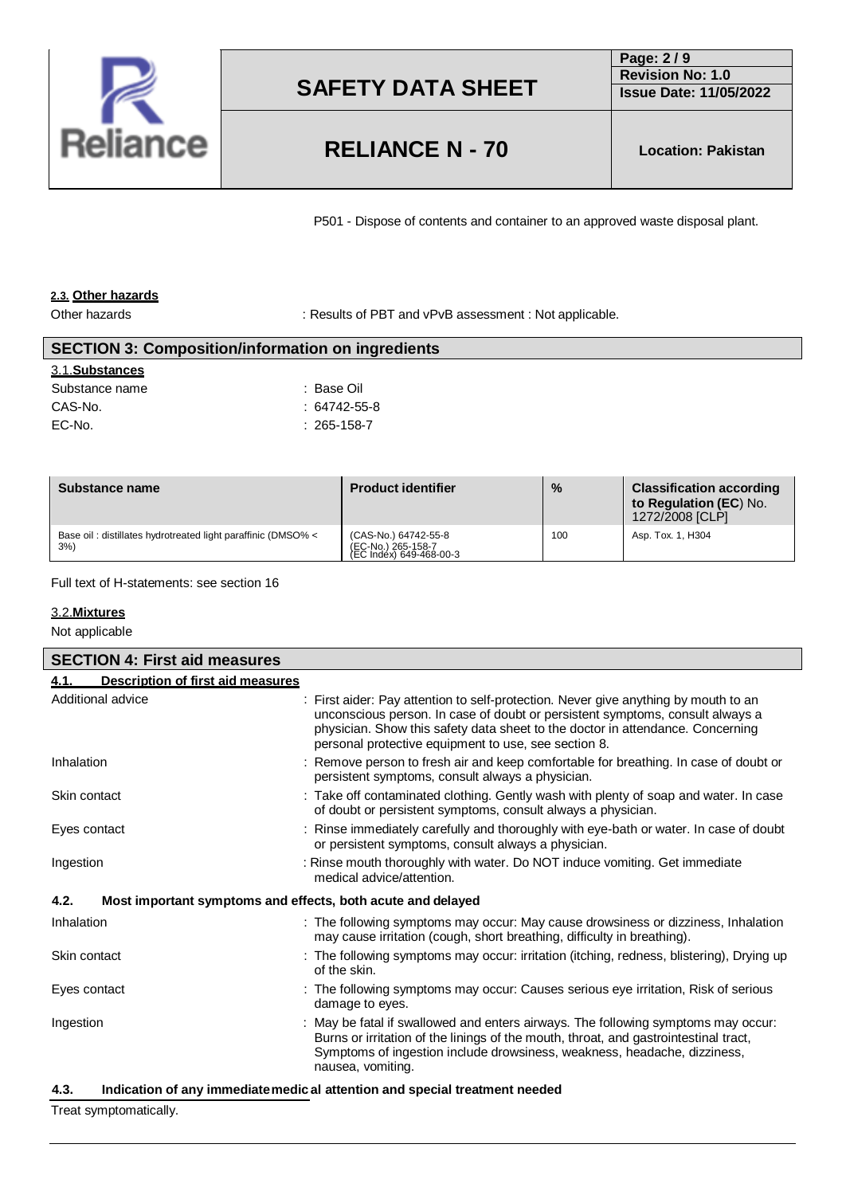

# **RELIANCE N - 70 Location: Pakistan**

**Page: 2 / 9 Revision No: 1.0 Issue Date: 11/05/2022**

P501 - Dispose of contents and container to an approved waste disposal plant.

### **2.3. Other hazards**

Other hazards **in the substitute of PBT** and vPvB assessment : Not applicable.

# 3.1.**Substances** Substance name  $\qquad \qquad :$  Base Oil CAS-No. : 64742-55-8 EC-No. : 265-158-7 **SECTION 3: Composition/information on ingredients**

| Substance name                                                     | <b>Product identifier</b>                                             | $\frac{0}{0}$ | <b>Classification according</b><br>to Regulation (EC) No.<br>1272/2008 [CLP] |
|--------------------------------------------------------------------|-----------------------------------------------------------------------|---------------|------------------------------------------------------------------------------|
| Base oil: distillates hydrotreated light paraffinic (DMSO% <<br>3% | (CAS-No.) 64742-55-8<br>(EC-No.) 265-158-7<br>(EC Index) 649-468-00-3 | 100           | Asp. Tox. 1, H304                                                            |

Full text of H-statements: see section 16

### 3.2.**Mixtures**

Not applicable

| <b>SECTION 4: First aid measures</b>                                |                                                                                                                                                                                                                                                                                                                |
|---------------------------------------------------------------------|----------------------------------------------------------------------------------------------------------------------------------------------------------------------------------------------------------------------------------------------------------------------------------------------------------------|
| Description of first aid measures<br>4.1.                           |                                                                                                                                                                                                                                                                                                                |
| Additional advice                                                   | : First aider: Pay attention to self-protection. Never give anything by mouth to an<br>unconscious person. In case of doubt or persistent symptoms, consult always a<br>physician. Show this safety data sheet to the doctor in attendance. Concerning<br>personal protective equipment to use, see section 8. |
| Inhalation                                                          | : Remove person to fresh air and keep comfortable for breathing. In case of doubt or<br>persistent symptoms, consult always a physician.                                                                                                                                                                       |
| Skin contact                                                        | : Take off contaminated clothing. Gently wash with plenty of soap and water. In case<br>of doubt or persistent symptoms, consult always a physician.                                                                                                                                                           |
| Eyes contact                                                        | Rinse immediately carefully and thoroughly with eye-bath or water. In case of doubt<br>or persistent symptoms, consult always a physician.                                                                                                                                                                     |
| Ingestion                                                           | : Rinse mouth thoroughly with water. Do NOT induce vomiting. Get immediate<br>medical advice/attention.                                                                                                                                                                                                        |
| 4.2.<br>Most important symptoms and effects, both acute and delayed |                                                                                                                                                                                                                                                                                                                |
| Inhalation                                                          | : The following symptoms may occur: May cause drowsiness or dizziness, Inhalation<br>may cause irritation (cough, short breathing, difficulty in breathing).                                                                                                                                                   |
| Skin contact                                                        | : The following symptoms may occur: irritation (itching, redness, blistering), Drying up<br>of the skin.                                                                                                                                                                                                       |
| Eyes contact                                                        | : The following symptoms may occur: Causes serious eye irritation, Risk of serious<br>damage to eyes.                                                                                                                                                                                                          |
| Ingestion                                                           | : May be fatal if swallowed and enters airways. The following symptoms may occur:<br>Burns or irritation of the linings of the mouth, throat, and gastrointestinal tract,<br>Symptoms of ingestion include drowsiness, weakness, headache, dizziness,<br>nausea, vomiting.                                     |
| 4.3.                                                                | Indication of any immediatemedic al attention and special treatment needed                                                                                                                                                                                                                                     |

Treat symptomatically.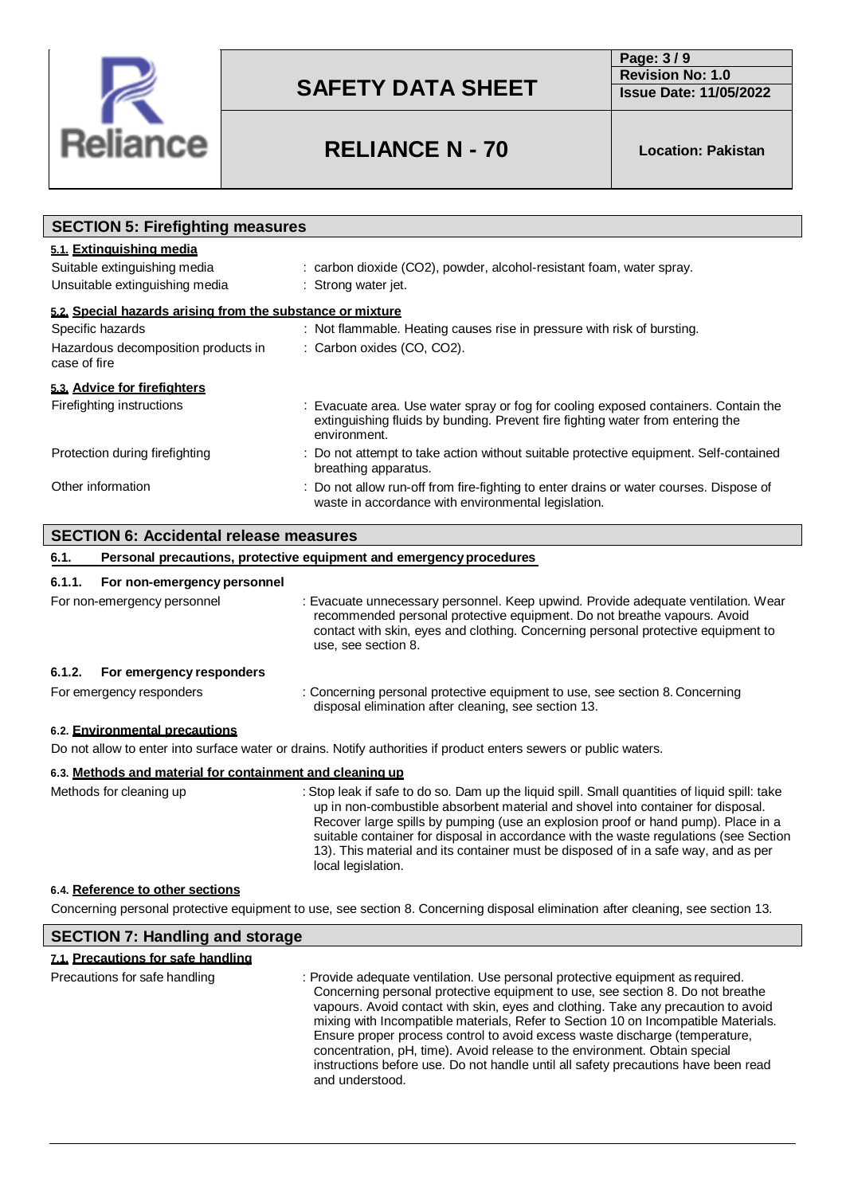

**Page: 3 / 9 Revision No: 1.0 Issue Date: 11/05/2022**

# **RELIANCE N - 70 Location: Pakistan**

| <b>SECTION 5: Firefighting measures</b>                                                    |                                                                                                                                                                                       |  |
|--------------------------------------------------------------------------------------------|---------------------------------------------------------------------------------------------------------------------------------------------------------------------------------------|--|
| 5.1. Extinguishing media<br>Suitable extinguishing media<br>Unsuitable extinguishing media | : carbon dioxide (CO2), powder, alcohol-resistant foam, water spray.<br>: Strong water jet.                                                                                           |  |
| 5.2. Special hazards arising from the substance or mixture                                 |                                                                                                                                                                                       |  |
| Specific hazards                                                                           | : Not flammable. Heating causes rise in pressure with risk of bursting.                                                                                                               |  |
| Hazardous decomposition products in<br>case of fire                                        | : Carbon oxides (CO, CO2).                                                                                                                                                            |  |
| 5.3. Advice for firefighters                                                               |                                                                                                                                                                                       |  |
| Firefighting instructions                                                                  | : Evacuate area. Use water spray or fog for cooling exposed containers. Contain the<br>extinguishing fluids by bunding. Prevent fire fighting water from entering the<br>environment. |  |
| Protection during firefighting                                                             | Do not attempt to take action without suitable protective equipment. Self-contained<br>breathing apparatus.                                                                           |  |
| Other information                                                                          | : Do not allow run-off from fire-fighting to enter drains or water courses. Dispose of<br>waste in accordance with environmental legislation.                                         |  |
| <b>SECTION 6: Accidental release measures</b>                                              |                                                                                                                                                                                       |  |
| 6.1.                                                                                       | Personal precautions, protective equipment and emergency procedures                                                                                                                   |  |
| 6.1.1.<br>For non-emergency personnel                                                      |                                                                                                                                                                                       |  |

For non-emergency personnel : Evacuate unnecessary personnel. Keep upwind. Provide adequate ventilation. Wear recommended personal protective equipment. Do not breathe vapours. Avoid contact with skin, eyes and clothing. Concerning personal protective equipment to use, see section 8. **6.1.2. For emergency responders**

#### For emergency responders : Concerning personal protective equipment to use, see section 8. Concerning disposal elimination after cleaning, see section 13.

### **6.2. Environmental precautions**

Do not allow to enter into surface water or drains. Notify authorities if product enters sewers or public waters.

### **6.3. Methods and material for containment and cleaning up**

Methods for cleaning up : Stop leak if safe to do so. Dam up the liquid spill. Small quantities of liquid spill: take up in non-combustible absorbent material and shovel into container for disposal. Recover large spills by pumping (use an explosion proof or hand pump). Place in a suitable container for disposal in accordance with the waste regulations (see Section 13). This material and its container must be disposed of in a safe way, and as per local legislation.

#### **6.4. Reference to other sections**

Concerning personal protective equipment to use, see section 8. Concerning disposal elimination after cleaning, see section 13.

| <b>SECTION 7: Handling and storage</b> |                                                                                                                                                                                                                                                                                                                                                                                                                                                                                                                                                                                                                   |  |
|----------------------------------------|-------------------------------------------------------------------------------------------------------------------------------------------------------------------------------------------------------------------------------------------------------------------------------------------------------------------------------------------------------------------------------------------------------------------------------------------------------------------------------------------------------------------------------------------------------------------------------------------------------------------|--|
| 7.1. Precautions for safe handling     |                                                                                                                                                                                                                                                                                                                                                                                                                                                                                                                                                                                                                   |  |
| Precautions for safe handling          | : Provide adequate ventilation. Use personal protective equipment as required.<br>Concerning personal protective equipment to use, see section 8. Do not breathe<br>vapours. Avoid contact with skin, eyes and clothing. Take any precaution to avoid<br>mixing with Incompatible materials, Refer to Section 10 on Incompatible Materials.<br>Ensure proper process control to avoid excess waste discharge (temperature,<br>concentration, pH, time). Avoid release to the environment. Obtain special<br>instructions before use. Do not handle until all safety precautions have been read<br>and understood. |  |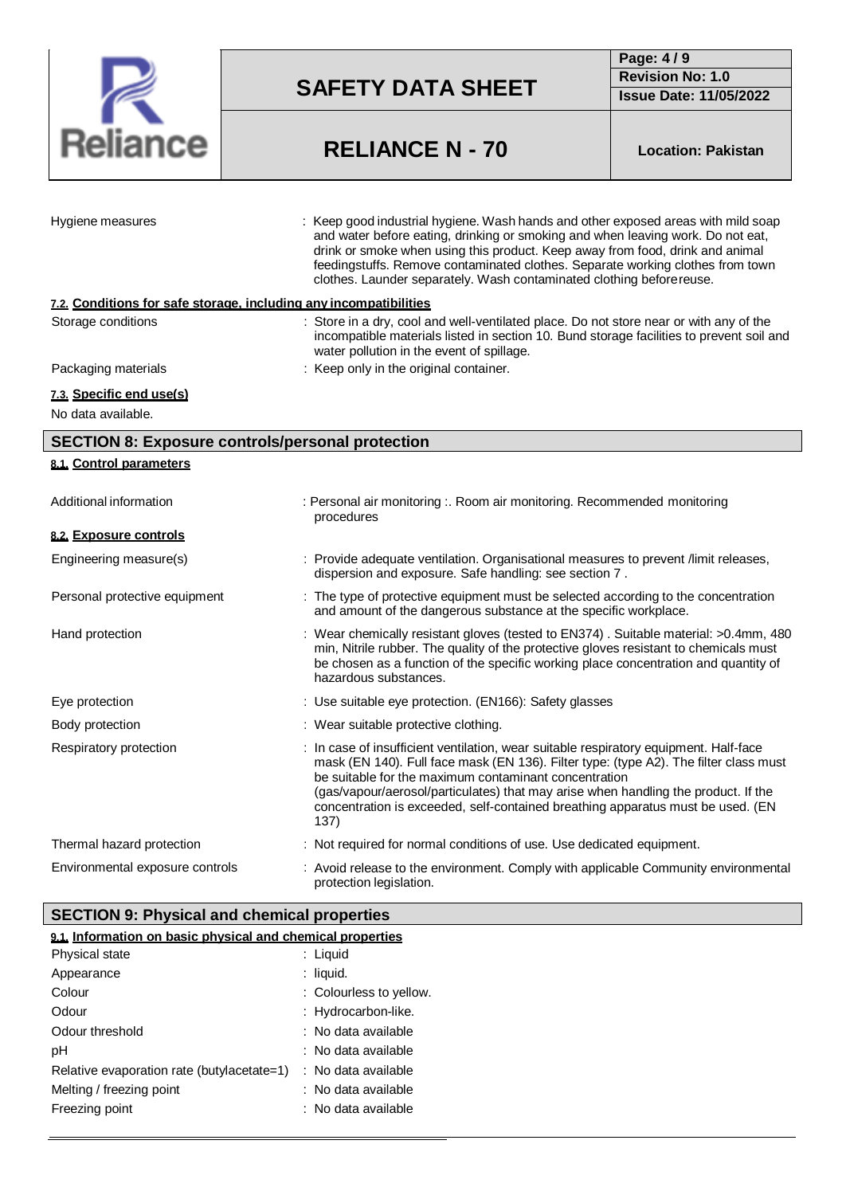

**Page: 4 / 9 Revision No: 1.0 Issue Date: 11/05/2022**

# **RELIANCE N - 70 Location: Pakistan**

| Hygiene measures                                                  | : Keep good industrial hygiene. Wash hands and other exposed areas with mild soap<br>and water before eating, drinking or smoking and when leaving work. Do not eat,<br>drink or smoke when using this product. Keep away from food, drink and animal<br>feedingstuffs. Remove contaminated clothes. Separate working clothes from town<br>clothes. Launder separately. Wash contaminated clothing before reuse.         |
|-------------------------------------------------------------------|--------------------------------------------------------------------------------------------------------------------------------------------------------------------------------------------------------------------------------------------------------------------------------------------------------------------------------------------------------------------------------------------------------------------------|
| 7.2. Conditions for safe storage. including any incompatibilities |                                                                                                                                                                                                                                                                                                                                                                                                                          |
| Storage conditions                                                | : Store in a dry, cool and well-ventilated place. Do not store near or with any of the<br>incompatible materials listed in section 10. Bund storage facilities to prevent soil and<br>water pollution in the event of spillage.                                                                                                                                                                                          |
| Packaging materials                                               | : Keep only in the original container.                                                                                                                                                                                                                                                                                                                                                                                   |
| 7.3. Specific end use(s)                                          |                                                                                                                                                                                                                                                                                                                                                                                                                          |
| No data available.                                                |                                                                                                                                                                                                                                                                                                                                                                                                                          |
| <b>SECTION 8: Exposure controls/personal protection</b>           |                                                                                                                                                                                                                                                                                                                                                                                                                          |
| 8.1. Control parameters                                           |                                                                                                                                                                                                                                                                                                                                                                                                                          |
|                                                                   |                                                                                                                                                                                                                                                                                                                                                                                                                          |
| Additional information                                            | : Personal air monitoring :. Room air monitoring. Recommended monitoring<br>procedures                                                                                                                                                                                                                                                                                                                                   |
| 8.2. Exposure controls                                            |                                                                                                                                                                                                                                                                                                                                                                                                                          |
| Engineering measure(s)                                            | : Provide adequate ventilation. Organisational measures to prevent /limit releases,<br>dispersion and exposure. Safe handling: see section 7.                                                                                                                                                                                                                                                                            |
| Personal protective equipment                                     | : The type of protective equipment must be selected according to the concentration<br>and amount of the dangerous substance at the specific workplace.                                                                                                                                                                                                                                                                   |
| Hand protection                                                   | : Wear chemically resistant gloves (tested to EN374) . Suitable material: >0.4mm, 480<br>min, Nitrile rubber. The quality of the protective gloves resistant to chemicals must<br>be chosen as a function of the specific working place concentration and quantity of<br>hazardous substances.                                                                                                                           |
| Eye protection                                                    | : Use suitable eye protection. (EN166): Safety glasses                                                                                                                                                                                                                                                                                                                                                                   |
| Body protection                                                   | : Wear suitable protective clothing.                                                                                                                                                                                                                                                                                                                                                                                     |
| Respiratory protection                                            | : In case of insufficient ventilation, wear suitable respiratory equipment. Half-face<br>mask (EN 140). Full face mask (EN 136). Filter type: (type A2). The filter class must<br>be suitable for the maximum contaminant concentration<br>(gas/vapour/aerosol/particulates) that may arise when handling the product. If the<br>concentration is exceeded, self-contained breathing apparatus must be used. (EN<br>137) |
| Thermal hazard protection                                         | : Not required for normal conditions of use. Use dedicated equipment.                                                                                                                                                                                                                                                                                                                                                    |
| Environmental exposure controls                                   | : Avoid release to the environment. Comply with applicable Community environmental<br>protection legislation.                                                                                                                                                                                                                                                                                                            |

# **SECTION 9: Physical and chemical properties**

| 9.1. Information on basic physical and chemical properties |                         |
|------------------------------------------------------------|-------------------------|
| <b>Physical state</b>                                      | : Liquid                |
| Appearance                                                 | : liquid.               |
| Colour                                                     | : Colourless to yellow. |
| Odour                                                      | : Hydrocarbon-like.     |
| Odour threshold                                            | $:$ No data available   |
| рH                                                         | ∶ No data available     |
| Relative evaporation rate (butylacetate=1)                 | : No data available     |
| Melting / freezing point                                   | : No data available     |
| Freezing point                                             | : No data available     |
|                                                            |                         |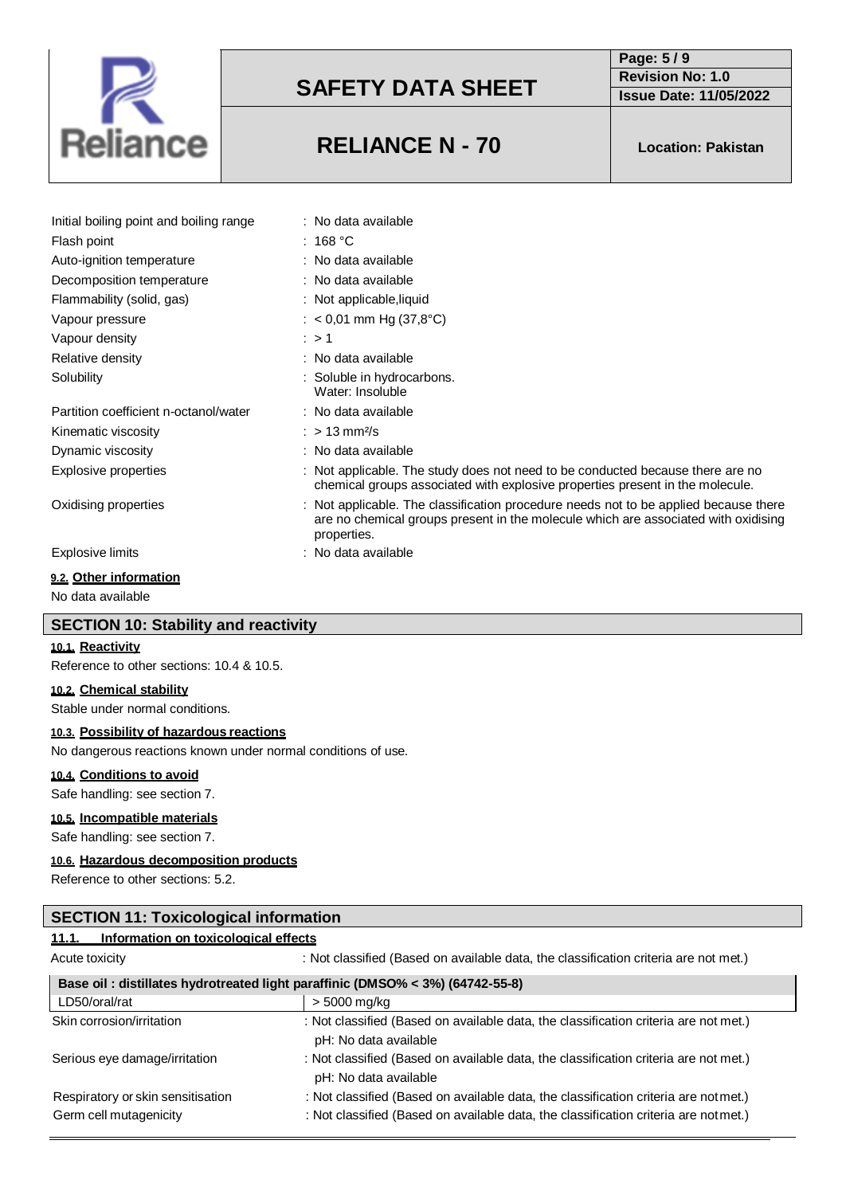

# **Page: 5 / 9 Revision No: 1.0**

**Issue Date: 11/05/2022**

# **RELIANCE N - 70 Location: Pakistan**

| Initial boiling point and boiling range | : No data available                                                                                                                                                                       |
|-----------------------------------------|-------------------------------------------------------------------------------------------------------------------------------------------------------------------------------------------|
| Flash point                             | $:~168~^{\circ}\mathrm{C}$                                                                                                                                                                |
| Auto-ignition temperature               | : No data available                                                                                                                                                                       |
| Decomposition temperature               | : No data available                                                                                                                                                                       |
| Flammability (solid, gas)               | : Not applicable, liquid                                                                                                                                                                  |
| Vapour pressure                         | : $<$ 0,01 mm Hg (37,8°C)                                                                                                                                                                 |
| Vapour density                          | $\therefore$ > 1                                                                                                                                                                          |
| Relative density                        | : No data available                                                                                                                                                                       |
| Solubility                              | : Soluble in hydrocarbons.<br>Water: Insoluble                                                                                                                                            |
| Partition coefficient n-octanol/water   | : No data available                                                                                                                                                                       |
| Kinematic viscosity                     | : $> 13$ mm <sup>2</sup> /s                                                                                                                                                               |
| Dynamic viscosity                       | : No data available                                                                                                                                                                       |
| Explosive properties                    | : Not applicable. The study does not need to be conducted because there are no<br>chemical groups associated with explosive properties present in the molecule.                           |
| Oxidising properties                    | : Not applicable. The classification procedure needs not to be applied because there<br>are no chemical groups present in the molecule which are associated with oxidising<br>properties. |
| Explosive limits                        | : No data available                                                                                                                                                                       |

# **9.2. Other information**

No data available

# **SECTION 10: Stability and reactivity**

### **10.1. Reactivity**

Reference to other sections: 10.4 & 10.5.

# **10.2. Chemical stability**

Stable under normal conditions.

### **10.3. Possibility of hazardous reactions**

No dangerous reactions known under normal conditions of use.

#### **10.4. Conditions to avoid**

Safe handling: see section 7.

#### **10.5. Incompatible materials**

Safe handling: see section 7.

#### **10.6. Hazardous decomposition products**

Reference to other sections: 5.2.

| <b>SECTION 11: Toxicological information</b>                                  |                                                                                                               |  |  |
|-------------------------------------------------------------------------------|---------------------------------------------------------------------------------------------------------------|--|--|
| Information on toxicological effects<br>11.1.                                 |                                                                                                               |  |  |
| Acute toxicity                                                                | : Not classified (Based on available data, the classification criteria are not met.)                          |  |  |
| Base oil: distillates hydrotreated light paraffinic (DMSO% < 3%) (64742-55-8) |                                                                                                               |  |  |
| LD50/oral/rat                                                                 | > 5000 mg/kg                                                                                                  |  |  |
| Skin corrosion/irritation                                                     | : Not classified (Based on available data, the classification criteria are not met.)<br>pH: No data available |  |  |
| Serious eye damage/irritation                                                 | : Not classified (Based on available data, the classification criteria are not met.)<br>pH: No data available |  |  |

| Respiratory or skin sensitisation | : Not classified (Based on available data, the classification criteria are notmet.) |
|-----------------------------------|-------------------------------------------------------------------------------------|
| Germ cell mutagenicity            | : Not classified (Based on available data, the classification criteria are notmet.) |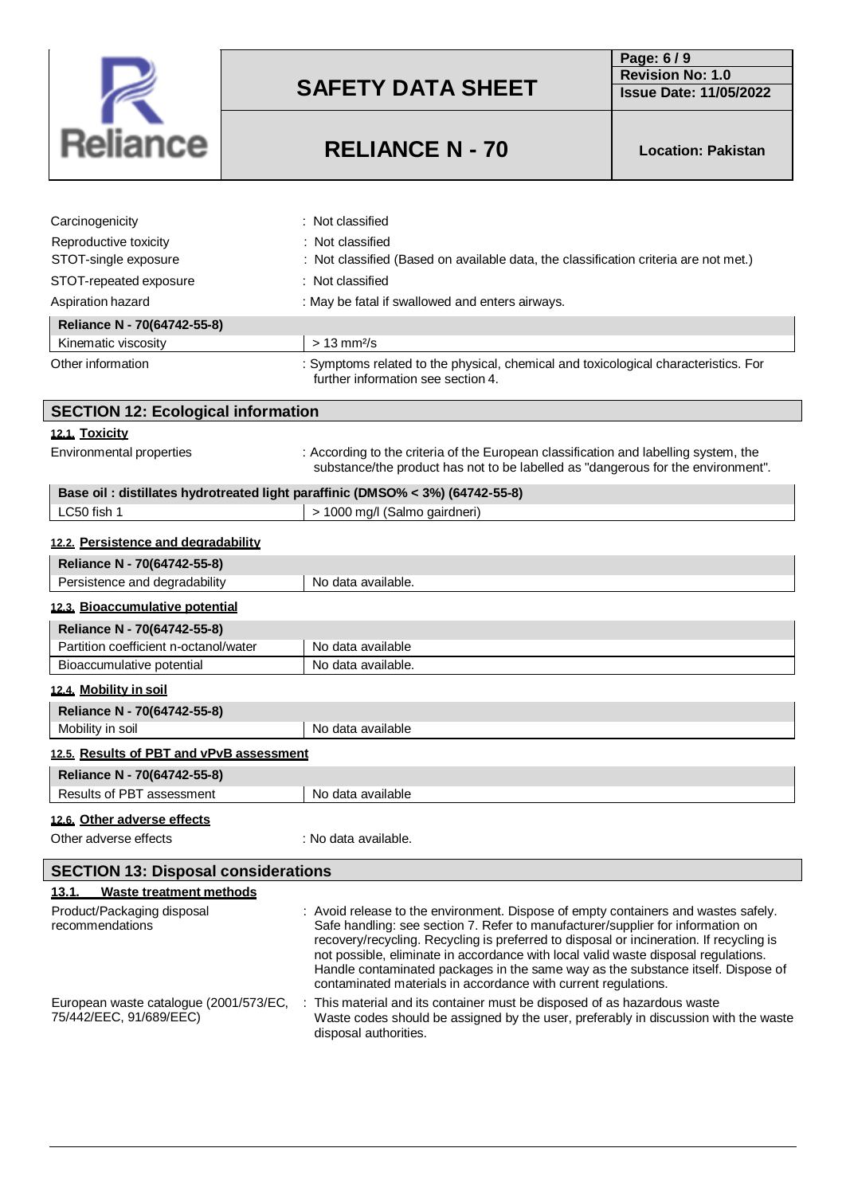

**Page: 6 / 9 Revision No: 1.0 Issue Date: 11/05/2022**

# **RELIANCE N - 70 Location: Pakistan**

| Carcinogenicity                                                                | : Not classified                                                                                                                                                                                                                                                                                                                                       |
|--------------------------------------------------------------------------------|--------------------------------------------------------------------------------------------------------------------------------------------------------------------------------------------------------------------------------------------------------------------------------------------------------------------------------------------------------|
| Reproductive toxicity                                                          | Not classified                                                                                                                                                                                                                                                                                                                                         |
| STOT-single exposure                                                           | Not classified (Based on available data, the classification criteria are not met.)                                                                                                                                                                                                                                                                     |
| STOT-repeated exposure                                                         | : Not classified                                                                                                                                                                                                                                                                                                                                       |
| Aspiration hazard                                                              | : May be fatal if swallowed and enters airways.                                                                                                                                                                                                                                                                                                        |
| Reliance N - 70(64742-55-8)                                                    |                                                                                                                                                                                                                                                                                                                                                        |
| Kinematic viscosity                                                            | $> 13$ mm <sup>2</sup> /s                                                                                                                                                                                                                                                                                                                              |
| Other information                                                              | : Symptoms related to the physical, chemical and toxicological characteristics. For<br>further information see section 4.                                                                                                                                                                                                                              |
| <b>SECTION 12: Ecological information</b>                                      |                                                                                                                                                                                                                                                                                                                                                        |
| 12.1. Toxicity                                                                 |                                                                                                                                                                                                                                                                                                                                                        |
| Environmental properties                                                       | : According to the criteria of the European classification and labelling system, the<br>substance/the product has not to be labelled as "dangerous for the environment".                                                                                                                                                                               |
| Base oil : distillates hydrotreated light paraffinic (DMSO% < 3%) (64742-55-8) |                                                                                                                                                                                                                                                                                                                                                        |
| LC50 fish 1                                                                    | > 1000 mg/l (Salmo gairdneri)                                                                                                                                                                                                                                                                                                                          |
| 12.2. Persistence and degradability                                            |                                                                                                                                                                                                                                                                                                                                                        |
| Reliance N - 70(64742-55-8)                                                    |                                                                                                                                                                                                                                                                                                                                                        |
| Persistence and degradability                                                  | No data available.                                                                                                                                                                                                                                                                                                                                     |
| 12.3. Bioaccumulative potential                                                |                                                                                                                                                                                                                                                                                                                                                        |
| Reliance N - 70(64742-55-8)                                                    |                                                                                                                                                                                                                                                                                                                                                        |
| Partition coefficient n-octanol/water                                          | No data available                                                                                                                                                                                                                                                                                                                                      |
| Bioaccumulative potential                                                      | No data available.                                                                                                                                                                                                                                                                                                                                     |
| 12.4. Mobility in soil                                                         |                                                                                                                                                                                                                                                                                                                                                        |
| Reliance N - 70(64742-55-8)                                                    |                                                                                                                                                                                                                                                                                                                                                        |
| Mobility in soil                                                               | No data available                                                                                                                                                                                                                                                                                                                                      |
| 12.5. Results of PBT and vPvB assessment                                       |                                                                                                                                                                                                                                                                                                                                                        |
| Reliance N - 70(64742-55-8)                                                    |                                                                                                                                                                                                                                                                                                                                                        |
| Results of PBT assessment                                                      | No data available                                                                                                                                                                                                                                                                                                                                      |
| 12.6. Other adverse effects                                                    |                                                                                                                                                                                                                                                                                                                                                        |
| Other adverse effects                                                          | : No data available.                                                                                                                                                                                                                                                                                                                                   |
|                                                                                |                                                                                                                                                                                                                                                                                                                                                        |
| <b>SECTION 13: Disposal considerations</b>                                     |                                                                                                                                                                                                                                                                                                                                                        |
| <b>Waste treatment methods</b><br><u>13.1.</u>                                 |                                                                                                                                                                                                                                                                                                                                                        |
| Product/Packaging disposal<br>recommendations                                  | : Avoid release to the environment. Dispose of empty containers and wastes safely.<br>Safe handling: see section 7. Refer to manufacturer/supplier for information on<br>recovery/recycling. Recycling is preferred to disposal or incineration. If recycling is<br>not possible, eliminate in accordance with local valid waste disposal regulations. |

75/442/EEC, 91/689/EEC)

European waste catalogue (2001/573/EC, : This material and its container must be disposed of as hazardous waste Waste codes should be assigned by the user, preferably in discussion with the waste disposal authorities.

contaminated materials in accordance with current regulations.

Handle contaminated packages in the same way as the substance itself. Dispose of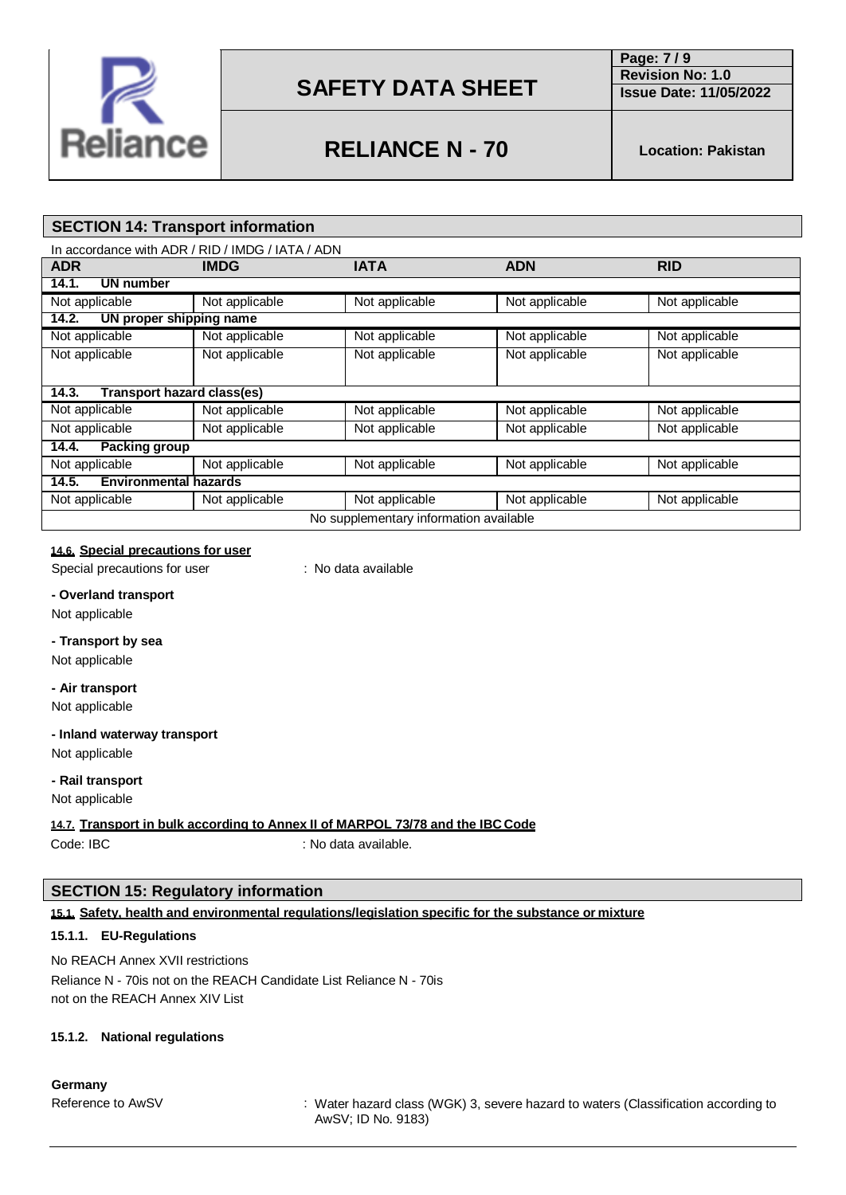

**Page: 7 / 9 Revision No: 1.0**

# **RELIANCE N - 70 Location: Pakistan**

**Issue Date: 11/05/2022**

# **SECTION 14: Transport information**

| In accordance with ADR / RID / IMDG / IATA / ADN |                |                |                |                |
|--------------------------------------------------|----------------|----------------|----------------|----------------|
| <b>ADR</b>                                       | <b>IMDG</b>    | <b>IATA</b>    | <b>ADN</b>     | <b>RID</b>     |
| 14.1.<br>UN number                               |                |                |                |                |
| Not applicable                                   | Not applicable | Not applicable | Not applicable | Not applicable |
| 14.2.<br>UN proper shipping name                 |                |                |                |                |
| Not applicable                                   | Not applicable | Not applicable | Not applicable | Not applicable |
| Not applicable                                   | Not applicable | Not applicable | Not applicable | Not applicable |
|                                                  |                |                |                |                |
| Transport hazard class(es)<br>14.3.              |                |                |                |                |
| Not applicable                                   | Not applicable | Not applicable | Not applicable | Not applicable |
| Not applicable                                   | Not applicable | Not applicable | Not applicable | Not applicable |
| <b>Packing group</b><br>14.4.                    |                |                |                |                |
| Not applicable                                   | Not applicable | Not applicable | Not applicable | Not applicable |
| 14.5.<br><b>Environmental hazards</b>            |                |                |                |                |
| Not applicable                                   | Not applicable | Not applicable | Not applicable | Not applicable |
| No supplementary information available           |                |                |                |                |

# **14.6. Special precautions for user**

Special precautions for user : No data available

**- Overland transport**

Not applicable

### **- Transport by sea**

Not applicable

# **- Air transport**

Not applicable

### **- Inland waterway transport**

Not applicable

### **- Rail transport**

Not applicable

### **14.7. Transport in bulk according to Annex II of MARPOL 73/78 and the IBC Code**

Code: IBC : No data available.

### **SECTION 15: Regulatory information**

### **15.1. Safety, health and environmental regulations/legislation specific for the substance or mixture**

### **15.1.1. EU-Regulations**

No REACH Annex XVII restrictions Reliance N - 70is not on the REACH Candidate List Reliance N - 70is not on the REACH Annex XIV List

### **15.1.2. National regulations**

**Germany**

Reference to AwSV **:** Water hazard class (WGK) 3, severe hazard to waters (Classification according to AwSV; ID No. 9183)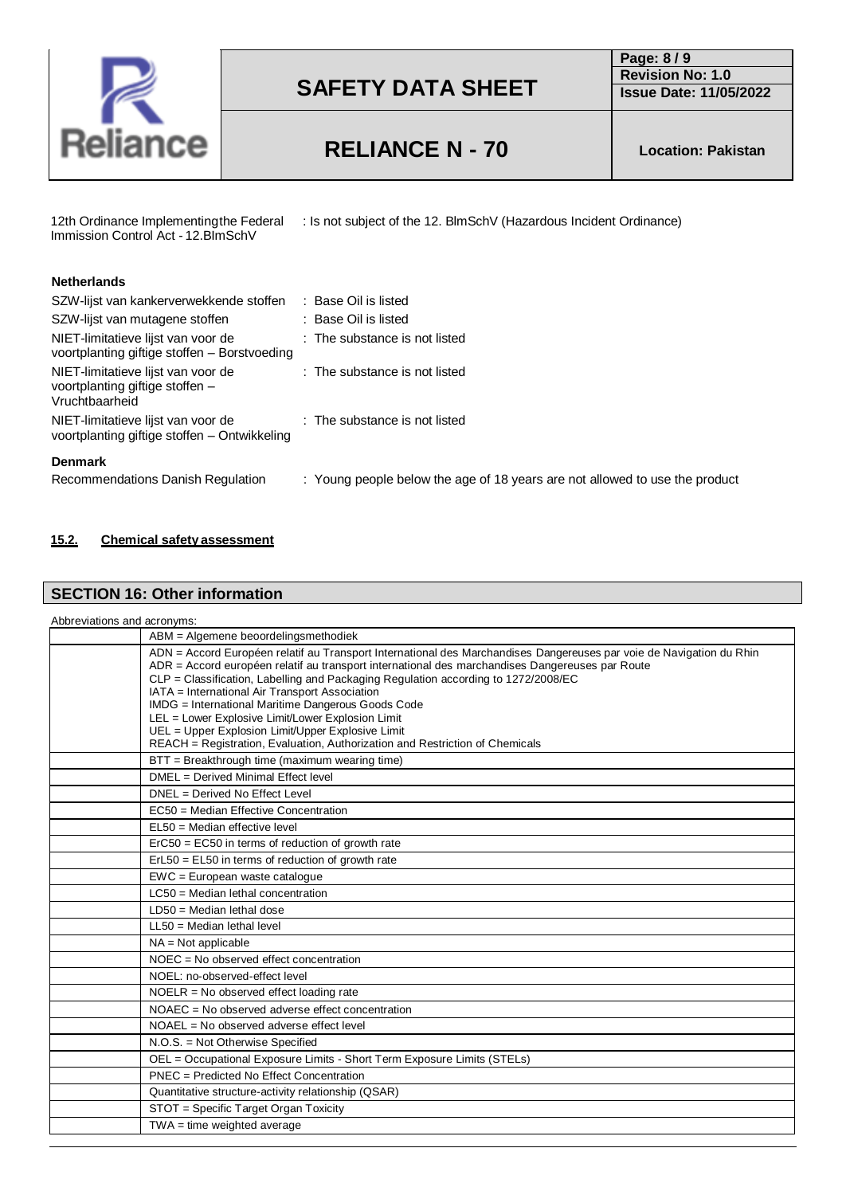

**Page: 8 / 9 Revision No: 1.0 Issue Date: 11/05/2022**

# **RELIANCE N - 70 Location: Pakistan**

12th Ordinance Implementingthe Federal Immission Control Act - 12.BImSchV

: Is not subject of the 12. BlmSchV (Hazardous Incident Ordinance)

| <b>Netherlands</b>                                                                      |                                                                             |
|-----------------------------------------------------------------------------------------|-----------------------------------------------------------------------------|
| SZW-lijst van kankerverwekkende stoffen                                                 | : Base Oil is listed                                                        |
| SZW-lijst van mutagene stoffen                                                          | : Base Oil is listed                                                        |
| NIET-limitatieve lijst van voor de<br>voortplanting giftige stoffen - Borstvoeding      | : The substance is not listed                                               |
| NIET-limitatieve lijst van voor de<br>voortplanting giftige stoffen -<br>Vruchtbaarheid | : The substance is not listed                                               |
| NIET-limitatieve lijst van voor de<br>voortplanting giftige stoffen - Ontwikkeling      | : The substance is not listed                                               |
| <b>Denmark</b><br>Recommendations Danish Regulation                                     | : Young people below the age of 18 years are not allowed to use the product |

### **15.2. Chemical safety assessment**

# **SECTION 16: Other information**

| Abbreviations and acronyms: |  |  |
|-----------------------------|--|--|
|-----------------------------|--|--|

| ABM = Algemene beoordelingsmethodiek                                                                                                                                                                                                                                                                                                                                                                                                                                                                                                                                                                            |
|-----------------------------------------------------------------------------------------------------------------------------------------------------------------------------------------------------------------------------------------------------------------------------------------------------------------------------------------------------------------------------------------------------------------------------------------------------------------------------------------------------------------------------------------------------------------------------------------------------------------|
| ADN = Accord Européen relatif au Transport International des Marchandises Dangereuses par voie de Navigation du Rhin<br>ADR = Accord européen relatif au transport international des marchandises Dangereuses par Route<br>CLP = Classification, Labelling and Packaging Regulation according to 1272/2008/EC<br>IATA = International Air Transport Association<br>IMDG = International Maritime Dangerous Goods Code<br>LEL = Lower Explosive Limit/Lower Explosion Limit<br>UEL = Upper Explosion Limit/Upper Explosive Limit<br>REACH = Registration, Evaluation, Authorization and Restriction of Chemicals |
| BTT = Breakthrough time (maximum wearing time)                                                                                                                                                                                                                                                                                                                                                                                                                                                                                                                                                                  |
| DMFL = Derived Minimal Fffect level                                                                                                                                                                                                                                                                                                                                                                                                                                                                                                                                                                             |
| DNEL = Derived No Effect Level                                                                                                                                                                                                                                                                                                                                                                                                                                                                                                                                                                                  |
| EC50 = Median Effective Concentration                                                                                                                                                                                                                                                                                                                                                                                                                                                                                                                                                                           |
| $EL50 = Median$ effective level                                                                                                                                                                                                                                                                                                                                                                                                                                                                                                                                                                                 |
| $Erc50 = EC50$ in terms of reduction of growth rate                                                                                                                                                                                                                                                                                                                                                                                                                                                                                                                                                             |
| ErL50 = EL50 in terms of reduction of growth rate                                                                                                                                                                                                                                                                                                                                                                                                                                                                                                                                                               |
| EWC = European waste catalogue                                                                                                                                                                                                                                                                                                                                                                                                                                                                                                                                                                                  |
| $LC50$ = Median lethal concentration                                                                                                                                                                                                                                                                                                                                                                                                                                                                                                                                                                            |
| $LD50 = Median$ lethal dose                                                                                                                                                                                                                                                                                                                                                                                                                                                                                                                                                                                     |
| $LL50$ = Median lethal level                                                                                                                                                                                                                                                                                                                                                                                                                                                                                                                                                                                    |
| $NA = Not applicable$                                                                                                                                                                                                                                                                                                                                                                                                                                                                                                                                                                                           |
| $NOEC = No observed effect concentration$                                                                                                                                                                                                                                                                                                                                                                                                                                                                                                                                                                       |
| NOEL: no-observed-effect level                                                                                                                                                                                                                                                                                                                                                                                                                                                                                                                                                                                  |
| $NOELR = No observed effect loading rate$                                                                                                                                                                                                                                                                                                                                                                                                                                                                                                                                                                       |
| $NOAEC = No observed adverse effect concentration$                                                                                                                                                                                                                                                                                                                                                                                                                                                                                                                                                              |
| $NOAEL = No observed adverse effect level$                                                                                                                                                                                                                                                                                                                                                                                                                                                                                                                                                                      |
| N.O.S. = Not Otherwise Specified                                                                                                                                                                                                                                                                                                                                                                                                                                                                                                                                                                                |
| OEL = Occupational Exposure Limits - Short Term Exposure Limits (STELs)                                                                                                                                                                                                                                                                                                                                                                                                                                                                                                                                         |
| PNEC = Predicted No Effect Concentration                                                                                                                                                                                                                                                                                                                                                                                                                                                                                                                                                                        |
| Quantitative structure-activity relationship (QSAR)                                                                                                                                                                                                                                                                                                                                                                                                                                                                                                                                                             |
| STOT = Specific Target Organ Toxicity                                                                                                                                                                                                                                                                                                                                                                                                                                                                                                                                                                           |
| $TWA = time weighted average$                                                                                                                                                                                                                                                                                                                                                                                                                                                                                                                                                                                   |